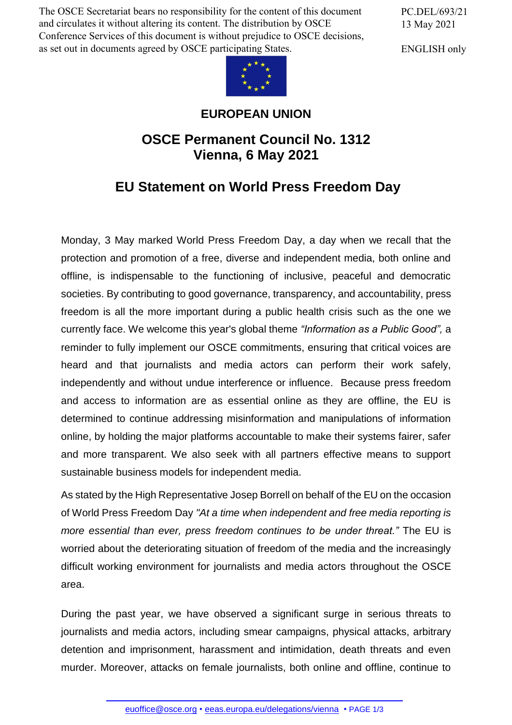The OSCE Secretariat bears no responsibility for the content of this document and circulates it without altering its content. The distribution by OSCE Conference Services of this document is without prejudice to OSCE decisions, as set out in documents agreed by OSCE participating States.

PC.DEL/693/21 13 May 2021

ENGLISH only



## **EUROPEAN UNION**

## **OSCE Permanent Council No. 1312 Vienna, 6 May 2021**

## **EU Statement on World Press Freedom Day**

Monday, 3 May marked World Press Freedom Day, a day when we recall that the protection and promotion of a free, diverse and independent media, both online and offline, is indispensable to the functioning of inclusive, peaceful and democratic societies. By contributing to good governance, transparency, and accountability, press freedom is all the more important during a public health crisis such as the one we currently face. We welcome this year's global theme *"Information as a Public Good",* a reminder to fully implement our OSCE commitments, ensuring that critical voices are heard and that journalists and media actors can perform their work safely, independently and without undue interference or influence. Because press freedom and access to information are as essential online as they are offline, the EU is determined to continue addressing misinformation and manipulations of information online, by holding the major platforms accountable to make their systems fairer, safer and more transparent. We also seek with all partners effective means to support sustainable business models for independent media.

As stated by the High Representative Josep Borrell on behalf of the EU on the occasion of World Press Freedom Day *"At a time when independent and free media reporting is more essential than ever, press freedom continues to be under threat."* The EU is worried about the deteriorating situation of freedom of the media and the increasingly difficult working environment for journalists and media actors throughout the OSCE area.

During the past year, we have observed a significant surge in serious threats to journalists and media actors, including smear campaigns, physical attacks, arbitrary detention and imprisonment, harassment and intimidation, death threats and even murder. Mor[eover, attacks on](mailto:euoffice@osce.org) [female journalists, both online](http://eeas.europa.eu/delegations/vienna) and offline, continue to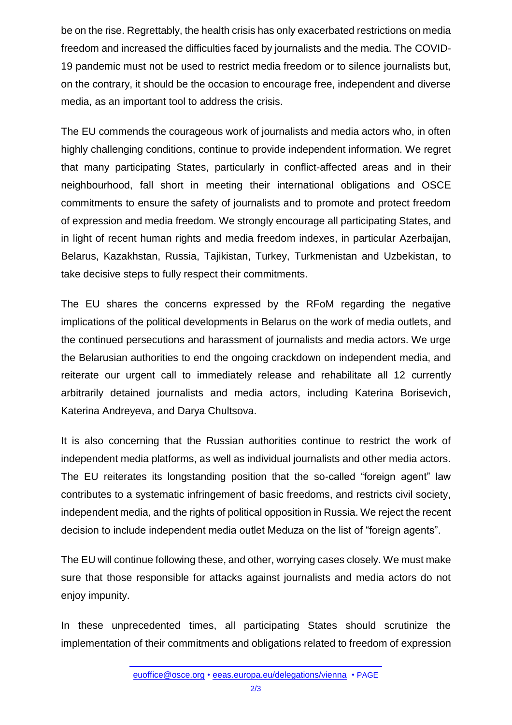be on the rise. Regrettably, the health crisis has only exacerbated restrictions on media freedom and increased the difficulties faced by journalists and the media. The COVID-19 pandemic must not be used to restrict media freedom or to silence journalists but, on the contrary, it should be the occasion to encourage free, independent and diverse media, as an important tool to address the crisis.

The EU commends the courageous work of journalists and media actors who, in often highly challenging conditions, continue to provide independent information. We regret that many participating States, particularly in conflict-affected areas and in their neighbourhood, fall short in meeting their international obligations and OSCE commitments to ensure the safety of journalists and to promote and protect freedom of expression and media freedom. We strongly encourage all participating States, and in light of recent human rights and media freedom indexes, in particular Azerbaijan, Belarus, Kazakhstan, Russia, Tajikistan, Turkey, Turkmenistan and Uzbekistan, to take decisive steps to fully respect their commitments.

The EU shares the concerns expressed by the RFoM regarding the negative implications of the political developments in Belarus on the work of media outlets, and the continued persecutions and harassment of journalists and media actors. We urge the Belarusian authorities to end the ongoing crackdown on independent media, and reiterate our urgent call to immediately release and rehabilitate all 12 currently arbitrarily detained journalists and media actors, including Katerina Borisevich, Katerina Andreyeva, and Darya Chultsova.

It is also concerning that the Russian authorities continue to restrict the work of independent media platforms, as well as individual journalists and other media actors. The EU reiterates its longstanding position that the so-called "foreign agent" law contributes to a systematic infringement of basic freedoms, and restricts civil society, independent media, and the rights of political opposition in Russia. We reject the recent decision to include independent media outlet Meduza on the list of "foreign agents".

The EU will continue following these, and other, worrying cases closely. We must make sure that those responsible for attacks against journalists and media actors do not enjoy impunity.

In these unprecedented times, all participating States should scrutinize the implementation of their commitments and obligations related to freedom of expression